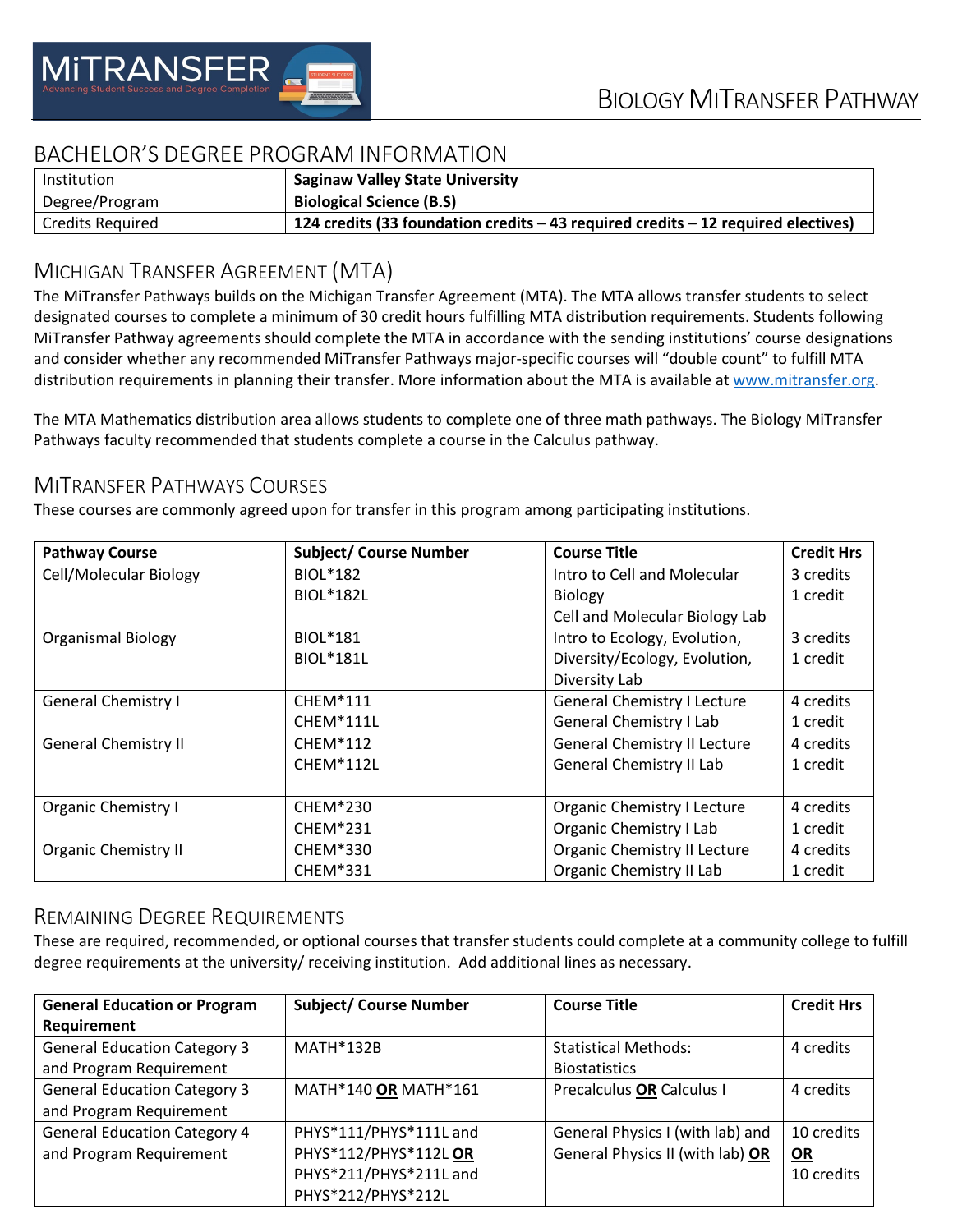

# BACHELOR'S DEGREE PROGRAM INFORMATION

| Institution             | <b>Saginaw Valley State University</b>                                                |
|-------------------------|---------------------------------------------------------------------------------------|
| Degree/Program          | <b>Biological Science (B.S)</b>                                                       |
| <b>Credits Required</b> | 124 credits (33 foundation credits $-$ 43 required credits $-$ 12 required electives) |

# MICHIGAN TRANSFER AGREEMENT (MTA)

The MiTransfer Pathways builds on the Michigan Transfer Agreement (MTA). The MTA allows transfer students to select designated courses to complete a minimum of 30 credit hours fulfilling MTA distribution requirements. Students following MiTransfer Pathway agreements should complete the MTA in accordance with the sending institutions' course designations and consider whether any recommended MiTransfer Pathways major-specific courses will "double count" to fulfill MTA distribution requirements in planning their transfer. More information about the MTA is available at [www.mitransfer.org.](http://www.mitransfer.org/)

The MTA Mathematics distribution area allows students to complete one of three math pathways. The Biology MiTransfer Pathways faculty recommended that students complete a course in the Calculus pathway.

### MITRANSFER PATHWAYS COURSES

These courses are commonly agreed upon for transfer in this program among participating institutions.

| <b>Pathway Course</b>       | <b>Subject/ Course Number</b> | <b>Course Title</b>                 | <b>Credit Hrs</b> |
|-----------------------------|-------------------------------|-------------------------------------|-------------------|
| Cell/Molecular Biology      | <b>BIOL*182</b>               | Intro to Cell and Molecular         | 3 credits         |
|                             | <b>BIOL*182L</b>              | <b>Biology</b>                      | 1 credit          |
|                             |                               | Cell and Molecular Biology Lab      |                   |
| <b>Organismal Biology</b>   | <b>BIOL*181</b>               | Intro to Ecology, Evolution,        | 3 credits         |
|                             | <b>BIOL*181L</b>              | Diversity/Ecology, Evolution,       | 1 credit          |
|                             |                               | Diversity Lab                       |                   |
| <b>General Chemistry I</b>  | <b>CHEM*111</b>               | <b>General Chemistry I Lecture</b>  | 4 credits         |
|                             | <b>CHEM*111L</b>              | <b>General Chemistry I Lab</b>      | 1 credit          |
| <b>General Chemistry II</b> | <b>CHEM*112</b>               | <b>General Chemistry II Lecture</b> | 4 credits         |
|                             | CHEM*112L                     | <b>General Chemistry II Lab</b>     | 1 credit          |
|                             |                               |                                     |                   |
| <b>Organic Chemistry I</b>  | <b>CHEM*230</b>               | <b>Organic Chemistry I Lecture</b>  | 4 credits         |
|                             | <b>CHEM*231</b>               | Organic Chemistry I Lab             | 1 credit          |
| <b>Organic Chemistry II</b> | CHEM*330                      | Organic Chemistry II Lecture        | 4 credits         |
|                             | CHEM*331                      | Organic Chemistry II Lab            | 1 credit          |

#### REMAINING DEGREE REQUIREMENTS

These are required, recommended, or optional courses that transfer students could complete at a community college to fulfill degree requirements at the university/ receiving institution. Add additional lines as necessary.

| <b>General Education or Program</b> | <b>Subject/ Course Number</b> | <b>Course Title</b>              | <b>Credit Hrs</b> |
|-------------------------------------|-------------------------------|----------------------------------|-------------------|
| Requirement                         |                               |                                  |                   |
| <b>General Education Category 3</b> | <b>MATH*132B</b>              | <b>Statistical Methods:</b>      | 4 credits         |
| and Program Requirement             |                               | <b>Biostatistics</b>             |                   |
| <b>General Education Category 3</b> | MATH*140 OR MATH*161          | <b>Precalculus OR Calculus I</b> | 4 credits         |
| and Program Requirement             |                               |                                  |                   |
| <b>General Education Category 4</b> | PHYS*111/PHYS*111L and        | General Physics I (with lab) and | 10 credits        |
| and Program Requirement             | PHYS*112/PHYS*112L OR         | General Physics II (with lab) OR | OR                |
|                                     | PHYS*211/PHYS*211L and        |                                  | 10 credits        |
|                                     | PHYS*212/PHYS*212L            |                                  |                   |